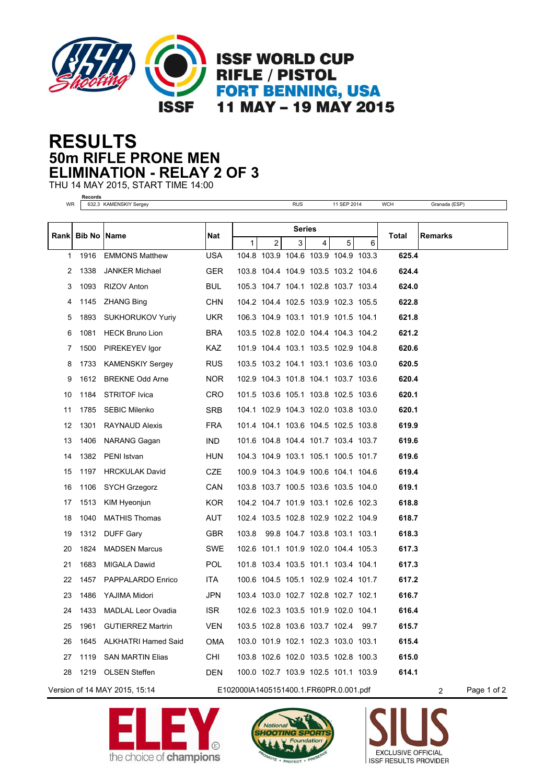

## **50m RIFLE PRONE MEN RESULTS ELIMINATION - RELAY 2 OF 3**

THU 14 MAY 2015, START TIME 14:00

**Records**

| WR |                      | 632.3 KAMENSKIY Sergey        |                                        |               |                | <b>RUS</b> |                | 11 SEP 2014                              |   | <b>WCH</b> | Granada (ESP)    |
|----|----------------------|-------------------------------|----------------------------------------|---------------|----------------|------------|----------------|------------------------------------------|---|------------|------------------|
|    |                      |                               |                                        |               |                |            |                |                                          |   |            |                  |
|    | Rank   Bib No   Name |                               | Nat                                    | <b>Series</b> |                |            |                |                                          |   | Total      | <b>Remarks</b>   |
| 1  | 1916                 | <b>EMMONS Matthew</b>         | <b>USA</b>                             | 1             | $\overline{a}$ | 3          | $\overline{4}$ | 5<br>104.8 103.9 104.6 103.9 104.9 103.3 | 6 | 625.4      |                  |
| 2  | 1338                 | <b>JANKER Michael</b>         | <b>GER</b>                             |               |                |            |                | 103.8 104.4 104.9 103.5 103.2 104.6      |   | 624.4      |                  |
| 3  | 1093                 |                               | <b>BUL</b>                             |               |                |            |                | 105.3 104.7 104.1 102.8 103.7 103.4      |   | 624.0      |                  |
|    |                      | RIZOV Anton                   | <b>CHN</b>                             |               |                |            |                | 104.2 104.4 102.5 103.9 102.3 105.5      |   | 622.8      |                  |
| 4  | 1145                 | <b>ZHANG Bing</b>             |                                        |               |                |            |                |                                          |   |            |                  |
| 5  | 1893                 | <b>SUKHORUKOV Yuriy</b>       | UKR.                                   |               |                |            |                | 106.3 104.9 103.1 101.9 101.5 104.1      |   | 621.8      |                  |
| 6  | 1081                 | <b>HECK Bruno Lion</b>        | <b>BRA</b>                             |               |                |            |                | 103.5 102.8 102.0 104.4 104.3 104.2      |   | 621.2      |                  |
| 7  | 1500                 | PIREKEYEV Igor                | KAZ.                                   |               |                |            |                | 101.9 104.4 103.1 103.5 102.9 104.8      |   | 620.6      |                  |
| 8  | 1733                 | <b>KAMENSKIY Sergey</b>       | <b>RUS</b>                             |               |                |            |                | 103.5 103.2 104.1 103.1 103.6 103.0      |   | 620.5      |                  |
| 9  |                      | 1612 BREKNE Odd Arne          | NOR.                                   |               |                |            |                | 102.9 104.3 101.8 104.1 103.7 103.6      |   | 620.4      |                  |
| 10 | 1184                 | <b>STRITOF Ivica</b>          | CRO                                    |               |                |            |                | 101.5 103.6 105.1 103.8 102.5 103.6      |   | 620.1      |                  |
| 11 | 1785                 | <b>SEBIC Milenko</b>          | <b>SRB</b>                             |               |                |            |                | 104.1 102.9 104.3 102.0 103.8 103.0      |   | 620.1      |                  |
| 12 | 1301                 | RAYNAUD Alexis                | <b>FRA</b>                             |               |                |            |                | 101.4 104.1 103.6 104.5 102.5 103.8      |   | 619.9      |                  |
| 13 | 1406                 | <b>NARANG Gagan</b>           | IND.                                   |               |                |            |                | 101.6 104.8 104.4 101.7 103.4 103.7      |   | 619.6      |                  |
| 14 | 1382                 | PENI Istvan                   | HUN                                    |               |                |            |                | 104.3 104.9 103.1 105.1 100.5 101.7      |   | 619.6      |                  |
| 15 | 1197                 | <b>HRCKULAK David</b>         | <b>CZE</b>                             |               |                |            |                | 100.9 104.3 104.9 100.6 104.1 104.6      |   | 619.4      |                  |
| 16 | 1106                 | <b>SYCH Grzegorz</b>          | CAN                                    |               |                |            |                | 103.8 103.7 100.5 103.6 103.5 104.0      |   | 619.1      |                  |
| 17 | 1513                 | KIM Hyeonjun                  | <b>KOR</b>                             |               |                |            |                | 104.2 104.7 101.9 103.1 102.6 102.3      |   | 618.8      |                  |
| 18 | 1040                 | <b>MATHIS Thomas</b>          | AUT                                    |               |                |            |                | 102.4 103.5 102.8 102.9 102.2 104.9      |   | 618.7      |                  |
| 19 |                      | 1312 DUFF Gary                | <b>GBR</b>                             | 103.8         |                |            |                | 99.8 104.7 103.8 103.1 103.1             |   | 618.3      |                  |
| 20 | 1824                 | <b>MADSEN Marcus</b>          | <b>SWE</b>                             |               |                |            |                | 102.6 101.1 101.9 102.0 104.4 105.3      |   | 617.3      |                  |
| 21 | 1683                 | <b>MIGALA Dawid</b>           | <b>POL</b>                             |               |                |            |                | 101.8 103.4 103.5 101.1 103.4 104.1      |   | 617.3      |                  |
| 22 | 1457                 | PAPPALARDO Enrico             | ITA.                                   |               |                |            |                | 100.6 104.5 105.1 102.9 102.4 101.7      |   | 617.2      |                  |
| 23 | 1486                 | YAJIMA Midori                 | JPN                                    |               |                |            |                | 103.4 103.0 102.7 102.8 102.7 102.1      |   | 616.7      |                  |
| 24 |                      | 1433 MADLAL Leor Ovadia       | ISR.                                   |               |                |            |                | 102.6 102.3 103.5 101.9 102.0 104.1      |   | 616.4      |                  |
| 25 |                      | 1961 GUTIERREZ Martrin        | <b>VEN</b>                             |               |                |            |                | 103.5 102.8 103.6 103.7 102.4 99.7       |   | 615.7      |                  |
| 26 | 1645                 | ALKHATRI Hamed Said           | OMA                                    |               |                |            |                | 103.0 101.9 102.1 102.3 103.0 103.1      |   | 615.4      |                  |
| 27 | 1119                 | <b>SAN MARTIN Elias</b>       | CHI                                    |               |                |            |                | 103.8 102.6 102.0 103.5 102.8 100.3      |   | 615.0      |                  |
| 28 |                      | 1219 OLSEN Steffen            | <b>DEN</b>                             |               |                |            |                | 100.0 102.7 103.9 102.5 101.1 103.9      |   | 614.1      |                  |
|    |                      | Version of 14 MAY 2015, 15:14 | E102000IA1405151400.1.FR60PR.0.001.pdf |               |                |            |                |                                          |   |            | Page 1 of 2<br>2 |